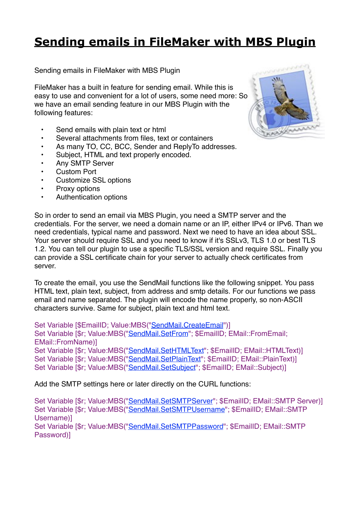## **[Sending emails in FileMaker with MBS Plugin](http://www.mbs-plugins.com/archive/2016-10-03/Sending_emails_in_FileMaker_wi/monkeybreadsoftware_blog_filemaker)**

Sending emails in FileMaker with MBS Plugin

FileMaker has a built in feature for sending email. While this is easy to use and convenient for a lot of users, some need more: So we have an email sending feature in our MBS Plugin with the following features:

- Send emails with plain text or html
- Several attachments from files, text or containers
- As many TO, CC, BCC, Sender and ReplyTo addresses.
- Subject, HTML and text properly encoded.
- Any SMTP Server
- **Custom Port**
- Customize SSL options
- Proxy options
- Authentication options



So in order to send an email via MBS Plugin, you need a SMTP server and the credentials. For the server, we need a domain name or an IP, either IPv4 or IPv6. Than we need credentials, typical name and password. Next we need to have an idea about SSL. Your server should require SSL and you need to know if it's SSLv3, TLS 1.0 or best TLS 1.2. You can tell our plugin to use a specific TLS/SSL version and require SSL. Finally you can provide a SSL certificate chain for your server to actually check certificates from server.

To create the email, you use the SendMail functions like the following snippet. You pass HTML text, plain text, subject, from address and smtp details. For our functions we pass email and name separated. The plugin will encode the name properly, so non-ASCII characters survive. Same for subject, plain text and html text.

Set Variable [\$EmailID; Value:MBS("[SendMail.CreateEmail](http://www.mbsplugins.eu/SendMailCreateEmail.shtml)")] Set Variable [\$r; Value:MBS("[SendMail.SetFrom](http://www.mbsplugins.eu/SendMailSetFrom.shtml)"; \$EmailID; EMail::FromEmail; EMail::FromName)] Set Variable [\$r; Value:MBS("[SendMail.SetHTMLText](http://www.mbsplugins.eu/SendMailSetHTMLText.shtml)"; \$EmailID; EMail::HTMLText)] Set Variable [\$r; Value:MBS("[SendMail.SetPlainText"](http://www.mbsplugins.eu/SendMailSetPlainText.shtml); \$EmailID; EMail::PlainText)] Set Variable [\$r; Value:MBS("[SendMail.SetSubject](http://www.mbsplugins.eu/SendMailSetSubject.shtml)"; \$EmailID; EMail::Subject)]

Add the SMTP settings here or later directly on the CURL functions:

Set Variable [\$r; Value:MBS("[SendMail.SetSMTPServer"](http://www.mbsplugins.eu/SendMailSetSMTPServer.shtml); \$EmailID; EMail::SMTP Server)] Set Variable [\$r; Value:MBS("[SendMail.SetSMTPUsername"](http://www.mbsplugins.eu/SendMailSetSMTPUsername.shtml); \$EmailID; EMail::SMTP Username)] Set Variable [\$r; Value:MBS("[SendMail.SetSMTPPassword](http://www.mbsplugins.eu/SendMailSetSMTPPassword.shtml)"; \$EmailID; EMail::SMTP Password)]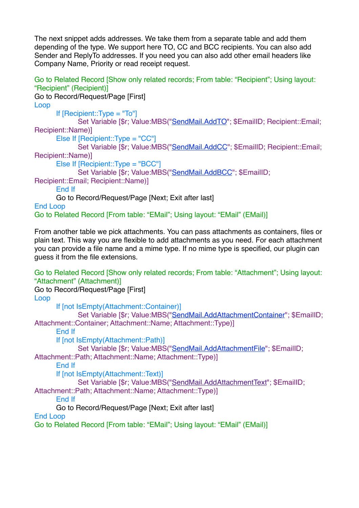The next snippet adds addresses. We take them from a separate table and add them depending of the type. We support here TO, CC and BCC recipients. You can also add Sender and ReplyTo addresses. If you need you can also add other email headers like Company Name, Priority or read receipt request.

Go to Related Record [Show only related records; From table: "Recipient"; Using layout: "Recipient" (Recipient)]

Go to Record/Request/Page [First] Loop If [Recipient::Type = "To"] Set Variable [\$r; Value:MBS("[SendMail.AddTO](http://www.mbsplugins.eu/SendMailAddTO.shtml)"; \$EmailID; Recipient::Email; Recipient::Name)] Else If [Recipient::Type = "CC"] Set Variable [\$r; Value:MBS("[SendMail.AddCC"](http://www.mbsplugins.eu/SendMailAddCC.shtml); \$EmailID; Recipient::Email; Recipient::Name)] Else If [Recipient::Type = "BCC"] Set Variable [\$r; Value:MBS("[SendMail.AddBCC"](http://www.mbsplugins.eu/SendMailAddBCC.shtml); \$EmailID; Recipient::Email; Recipient::Name)] End If Go to Record/Request/Page [Next; Exit after last] End Loop Go to Related Record [From table: "EMail"; Using layout: "EMail" (EMail)]

From another table we pick attachments. You can pass attachments as containers, files or plain text. This way you are flexible to add attachments as you need. For each attachment you can provide a file name and a mime type. If no mime type is specified, our plugin can guess it from the file extensions.

Go to Related Record [Show only related records; From table: "Attachment"; Using layout: "Attachment" (Attachment)] Go to Record/Request/Page [First] Loop If [not IsEmpty(Attachment::Container)] Set Variable [\$r; Value:MBS("[SendMail.AddAttachmentContainer](http://www.mbsplugins.eu/SendMailAddAttachmentContainer.shtml)"; \$EmailID; Attachment::Container; Attachment::Name; Attachment::Type)] End If If [not IsEmpty(Attachment::Path)] Set Variable [\$r; Value:MBS("[SendMail.AddAttachmentFile](http://www.mbsplugins.eu/SendMailAddAttachmentFile.shtml)"; \$EmailID; Attachment::Path; Attachment::Name; Attachment::Type)] End If If [not IsEmpty(Attachment::Text)] Set Variable [\$r; Value:MBS("[SendMail.AddAttachmentText](http://www.mbsplugins.eu/SendMailAddAttachmentText.shtml)"; \$EmailID; Attachment::Path; Attachment::Name; Attachment::Type)] End If Go to Record/Request/Page [Next; Exit after last] End Loop Go to Related Record [From table: "EMail"; Using layout: "EMail" (EMail)]